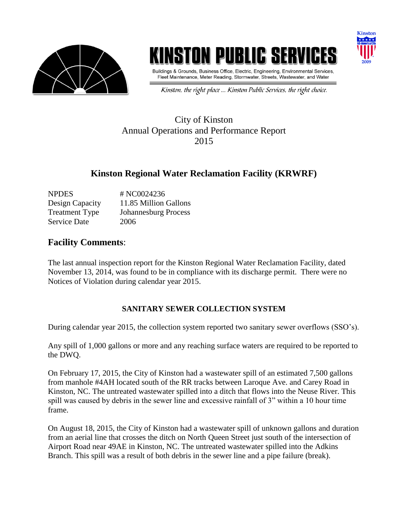

# INSTON PUBLIC SE



Buildings & Grounds, Business Office, Electric, Engineering, Environmental Services, Fleet Maintenance, Meter Reading, Stormwater, Streets, Wastewater, and Water

Kinston, the right place ... Kinston Public Services, the right choice.

### City of Kinston Annual Operations and Performance Report 2015

## **Kinston Regional Water Reclamation Facility (KRWRF)**

| <b>NPDES</b>          | # NC0024236                 |
|-----------------------|-----------------------------|
| Design Capacity       | 11.85 Million Gallons       |
| <b>Treatment Type</b> | <b>Johannesburg Process</b> |
| <b>Service Date</b>   | 2006                        |

#### **Facility Comments**:

The last annual inspection report for the Kinston Regional Water Reclamation Facility, dated November 13, 2014, was found to be in compliance with its discharge permit. There were no Notices of Violation during calendar year 2015.

#### **SANITARY SEWER COLLECTION SYSTEM**

During calendar year 2015, the collection system reported two sanitary sewer overflows (SSO's).

Any spill of 1,000 gallons or more and any reaching surface waters are required to be reported to the DWQ.

On February 17, 2015, the City of Kinston had a wastewater spill of an estimated 7,500 gallons from manhole #4AH located south of the RR tracks between Laroque Ave. and Carey Road in Kinston, NC. The untreated wastewater spilled into a ditch that flows into the Neuse River. This spill was caused by debris in the sewer line and excessive rainfall of 3" within a 10 hour time frame.

On August 18, 2015, the City of Kinston had a wastewater spill of unknown gallons and duration from an aerial line that crosses the ditch on North Queen Street just south of the intersection of Airport Road near 49AE in Kinston, NC. The untreated wastewater spilled into the Adkins Branch. This spill was a result of both debris in the sewer line and a pipe failure (break).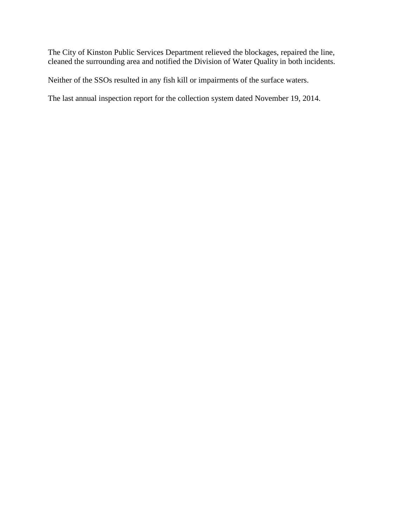The City of Kinston Public Services Department relieved the blockages, repaired the line, cleaned the surrounding area and notified the Division of Water Quality in both incidents.

Neither of the SSOs resulted in any fish kill or impairments of the surface waters.

The last annual inspection report for the collection system dated November 19, 2014.